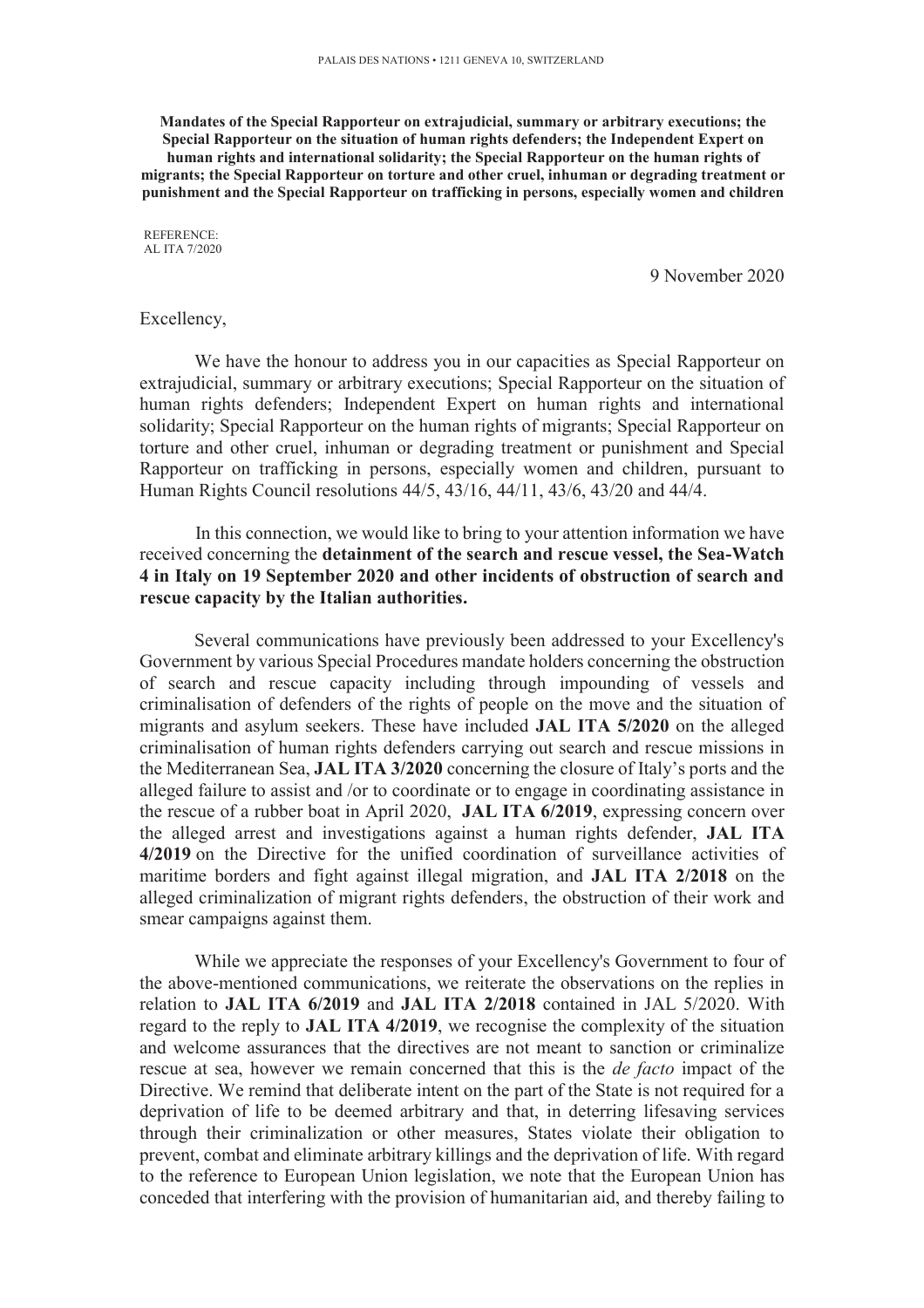**Mandates of the Special Rapporteur on extrajudicial, summary or arbitrary executions; the Special Rapporteur on the situation of human rights defenders; the Independent Expert on human rights and international solidarity; the Special Rapporteur on the human rights of migrants; the Special Rapporteur on torture and other cruel, inhuman or degrading treatment or punishment and the Special Rapporteur on trafficking in persons, especially women and children** 

REFERENCE: AL ITA 7/2020

9 November 2020

### Excellency,

We have the honour to address you in our capacities as Special Rapporteur on extrajudicial, summary or arbitrary executions; Special Rapporteur on the situation of human rights defenders; Independent Expert on human rights and international solidarity; Special Rapporteur on the human rights of migrants; Special Rapporteur on torture and other cruel, inhuman or degrading treatment or punishment and Special Rapporteur on trafficking in persons, especially women and children, pursuant to Human Rights Council resolutions 44/5, 43/16, 44/11, 43/6, 43/20 and 44/4.

In this connection, we would like to bring to your attention information we have received concerning the **detainment of the search and rescue vessel, the Sea-Watch 4 in Italy on 19 September 2020 and other incidents of obstruction of search and rescue capacity by the Italian authorities.** 

Several communications have previously been addressed to your Excellency's Government by various Special Procedures mandate holders concerning the obstruction of search and rescue capacity including through impounding of vessels and criminalisation of defenders of the rights of people on the move and the situation of migrants and asylum seekers. These have included **JAL ITA 5/2020** on the alleged criminalisation of human rights defenders carrying out search and rescue missions in the Mediterranean Sea, **JAL ITA 3/2020** concerning the closure of Italy's ports and the alleged failure to assist and /or to coordinate or to engage in coordinating assistance in the rescue of a rubber boat in April 2020, **JAL ITA 6/2019**, expressing concern over the alleged arrest and investigations against a human rights defender, **JAL ITA 4/2019** on the Directive for the unified coordination of surveillance activities of maritime borders and fight against illegal migration, and **JAL ITA 2/2018** on the alleged criminalization of migrant rights defenders, the obstruction of their work and smear campaigns against them.

While we appreciate the responses of your Excellency's Government to four of the above-mentioned communications, we reiterate the observations on the replies in relation to **JAL ITA 6/2019** and **JAL ITA 2/2018** contained in JAL 5/2020. With regard to the reply to **JAL ITA 4/2019**, we recognise the complexity of the situation and welcome assurances that the directives are not meant to sanction or criminalize rescue at sea, however we remain concerned that this is the *de facto* impact of the Directive. We remind that deliberate intent on the part of the State is not required for a deprivation of life to be deemed arbitrary and that, in deterring lifesaving services through their criminalization or other measures, States violate their obligation to prevent, combat and eliminate arbitrary killings and the deprivation of life. With regard to the reference to European Union legislation, we note that the European Union has conceded that interfering with the provision of humanitarian aid, and thereby failing to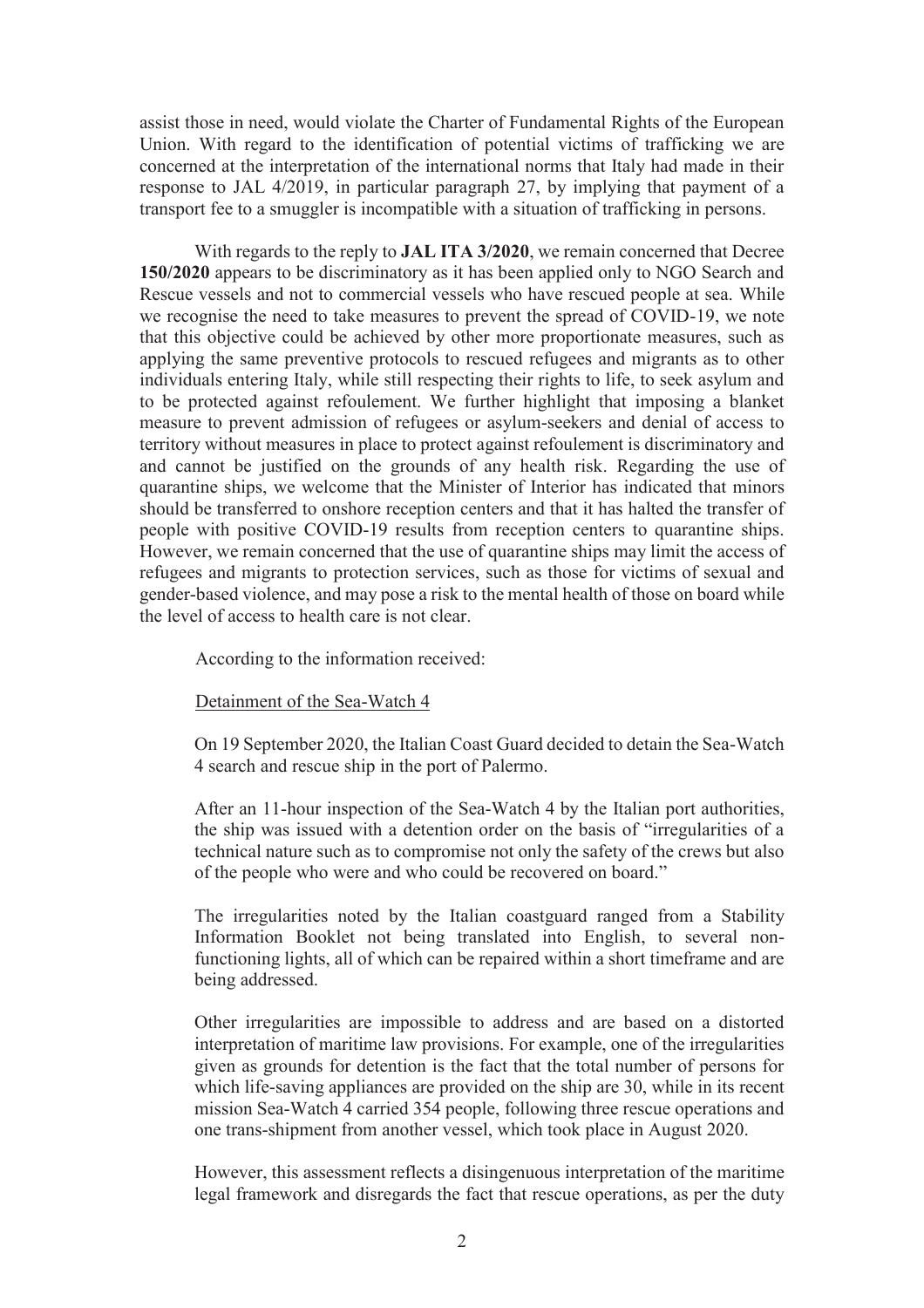assist those in need, would violate the Charter of Fundamental Rights of the European Union. With regard to the identification of potential victims of trafficking we are concerned at the interpretation of the international norms that Italy had made in their response to JAL 4/2019, in particular paragraph 27, by implying that payment of a transport fee to a smuggler is incompatible with a situation of trafficking in persons.

With regards to the reply to **JAL ITA 3/2020**, we remain concerned that Decree **150/2020** appears to be discriminatory as it has been applied only to NGO Search and Rescue vessels and not to commercial vessels who have rescued people at sea. While we recognise the need to take measures to prevent the spread of COVID-19, we note that this objective could be achieved by other more proportionate measures, such as applying the same preventive protocols to rescued refugees and migrants as to other individuals entering Italy, while still respecting their rights to life, to seek asylum and to be protected against refoulement. We further highlight that imposing a blanket measure to prevent admission of refugees or asylum-seekers and denial of access to territory without measures in place to protect against refoulement is discriminatory and and cannot be justified on the grounds of any health risk. Regarding the use of quarantine ships, we welcome that the Minister of Interior has indicated that minors should be transferred to onshore reception centers and that it has halted the transfer of people with positive COVID-19 results from reception centers to quarantine ships. However, we remain concerned that the use of quarantine ships may limit the access of refugees and migrants to protection services, such as those for victims of sexual and gender-based violence, and may pose a risk to the mental health of those on board while the level of access to health care is not clear.

According to the information received:

Detainment of the Sea-Watch 4

On 19 September 2020, the Italian Coast Guard decided to detain the Sea-Watch 4 search and rescue ship in the port of Palermo.

After an 11-hour inspection of the Sea-Watch 4 by the Italian port authorities, the ship was issued with a detention order on the basis of "irregularities of a technical nature such as to compromise not only the safety of the crews but also of the people who were and who could be recovered on board."

The irregularities noted by the Italian coastguard ranged from a Stability Information Booklet not being translated into English, to several nonfunctioning lights, all of which can be repaired within a short timeframe and are being addressed.

Other irregularities are impossible to address and are based on a distorted interpretation of maritime law provisions. For example, one of the irregularities given as grounds for detention is the fact that the total number of persons for which life-saving appliances are provided on the ship are 30, while in its recent mission Sea-Watch 4 carried 354 people, following three rescue operations and one trans-shipment from another vessel, which took place in August 2020.

However, this assessment reflects a disingenuous interpretation of the maritime legal framework and disregards the fact that rescue operations, as per the duty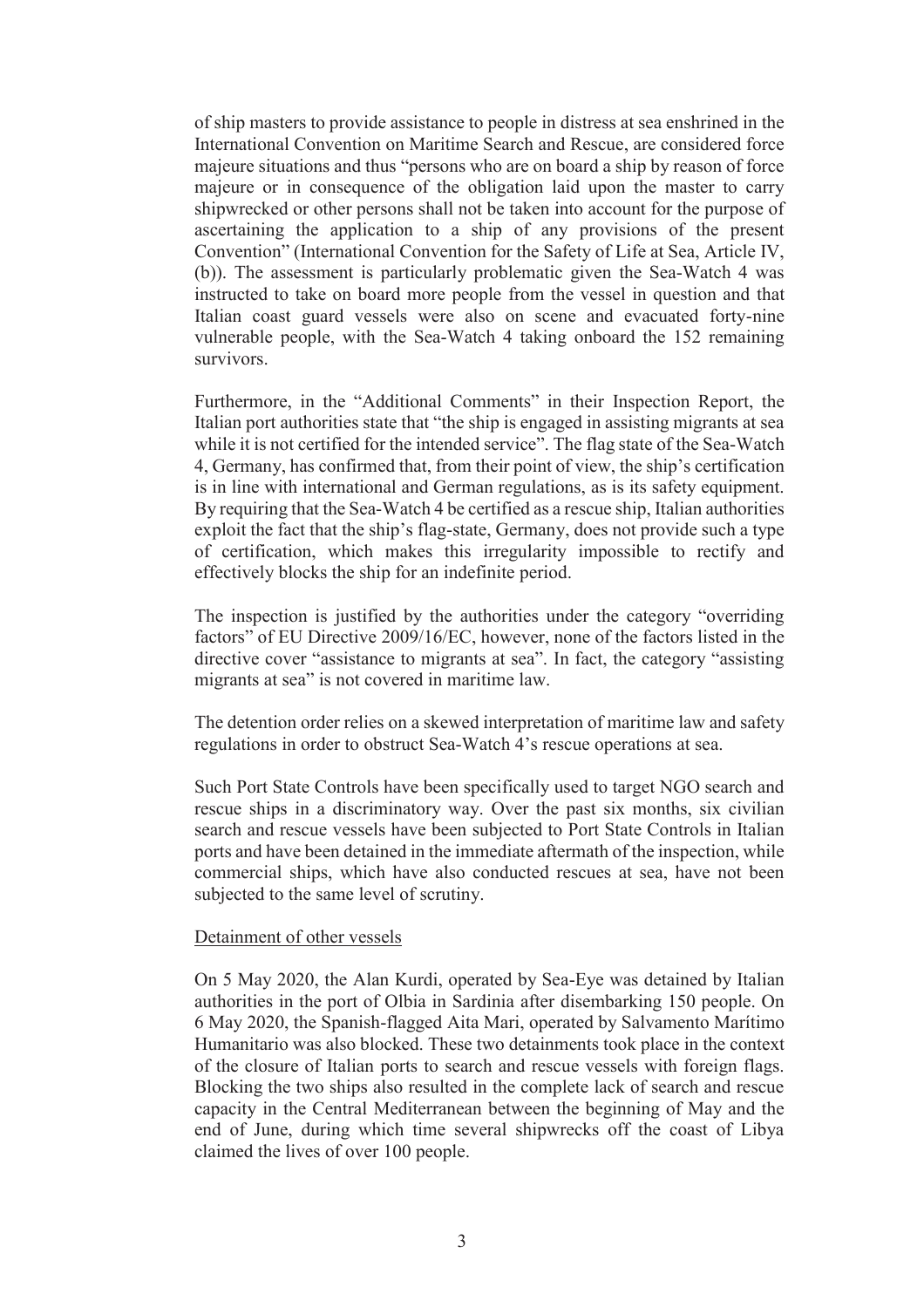of ship masters to provide assistance to people in distress at sea enshrined in the International Convention on Maritime Search and Rescue, are considered force majeure situations and thus "persons who are on board a ship by reason of force majeure or in consequence of the obligation laid upon the master to carry shipwrecked or other persons shall not be taken into account for the purpose of ascertaining the application to a ship of any provisions of the present Convention" (International Convention for the Safety of Life at Sea, Article IV, (b)). The assessment is particularly problematic given the Sea-Watch 4 was instructed to take on board more people from the vessel in question and that Italian coast guard vessels were also on scene and evacuated forty-nine vulnerable people, with the Sea-Watch 4 taking onboard the 152 remaining survivors.

Furthermore, in the "Additional Comments" in their Inspection Report, the Italian port authorities state that "the ship is engaged in assisting migrants at sea while it is not certified for the intended service". The flag state of the Sea-Watch 4, Germany, has confirmed that, from their point of view, the ship's certification is in line with international and German regulations, as is its safety equipment. By requiring that the Sea-Watch 4 be certified as a rescue ship, Italian authorities exploit the fact that the ship's flag-state, Germany, does not provide such a type of certification, which makes this irregularity impossible to rectify and effectively blocks the ship for an indefinite period.

The inspection is justified by the authorities under the category "overriding factors" of EU Directive 2009/16/EC, however, none of the factors listed in the directive cover "assistance to migrants at sea". In fact, the category "assisting migrants at sea" is not covered in maritime law.

The detention order relies on a skewed interpretation of maritime law and safety regulations in order to obstruct Sea-Watch 4's rescue operations at sea.

Such Port State Controls have been specifically used to target NGO search and rescue ships in a discriminatory way. Over the past six months, six civilian search and rescue vessels have been subjected to Port State Controls in Italian ports and have been detained in the immediate aftermath of the inspection, while commercial ships, which have also conducted rescues at sea, have not been subjected to the same level of scrutiny.

## Detainment of other vessels

On 5 May 2020, the Alan Kurdi, operated by Sea-Eye was detained by Italian authorities in the port of Olbia in Sardinia after disembarking 150 people. On 6 May 2020, the Spanish-flagged Aita Mari, operated by Salvamento Marítimo Humanitario was also blocked. These two detainments took place in the context of the closure of Italian ports to search and rescue vessels with foreign flags. Blocking the two ships also resulted in the complete lack of search and rescue capacity in the Central Mediterranean between the beginning of May and the end of June, during which time several shipwrecks off the coast of Libya claimed the lives of over 100 people.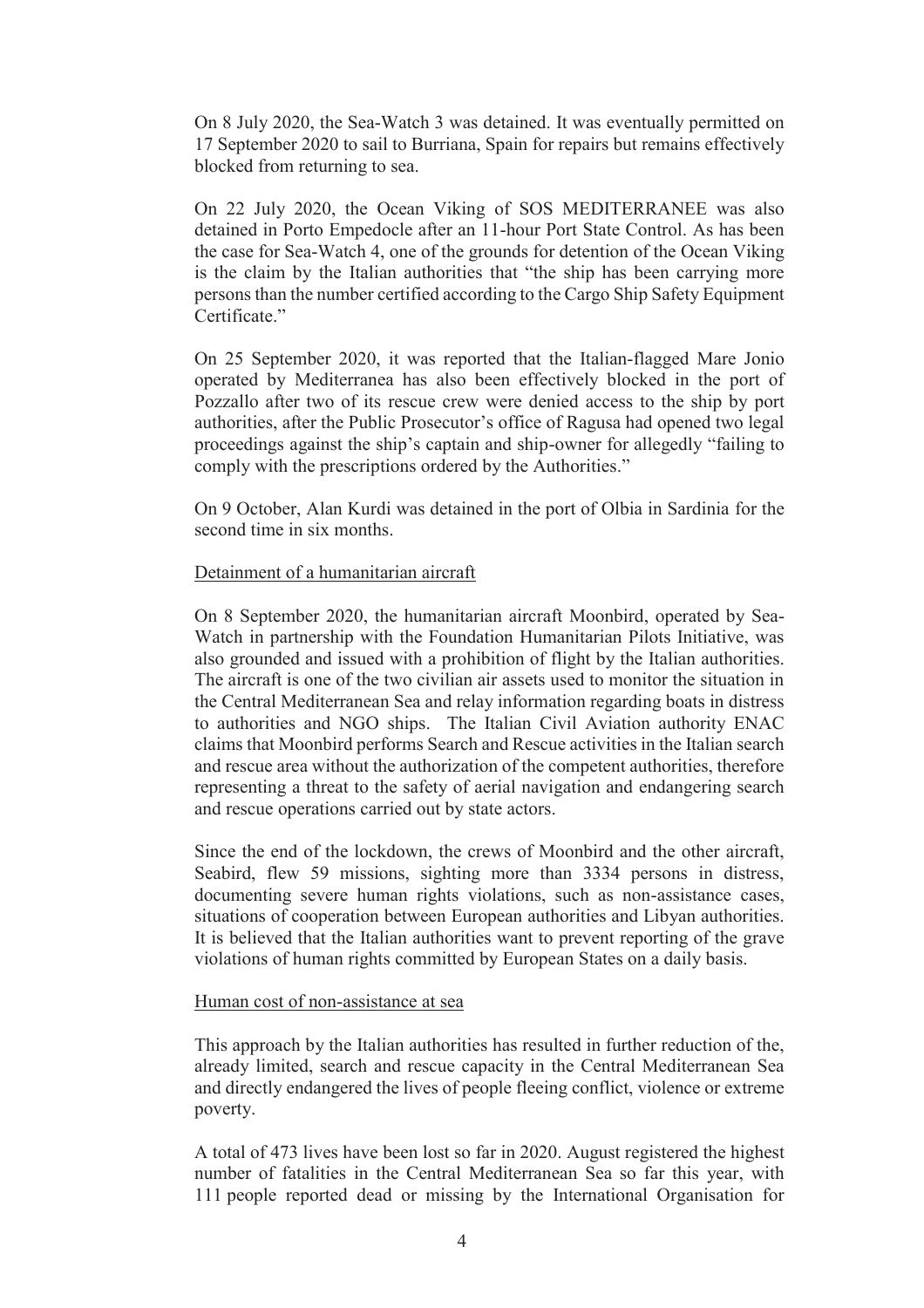On 8 July 2020, the Sea-Watch 3 was detained. It was eventually permitted on 17 September 2020 to sail to Burriana, Spain for repairs but remains effectively blocked from returning to sea.

On 22 July 2020, the Ocean Viking of SOS MEDITERRANEE was also detained in Porto Empedocle after an 11-hour Port State Control. As has been the case for Sea-Watch 4, one of the grounds for detention of the Ocean Viking is the claim by the Italian authorities that "the ship has been carrying more persons than the number certified according to the Cargo Ship Safety Equipment Certificate<sup>"</sup>

On 25 September 2020, it was reported that the Italian-flagged Mare Jonio operated by Mediterranea has also been effectively blocked in the port of Pozzallo after two of its rescue crew were denied access to the ship by port authorities, after the Public Prosecutor's office of Ragusa had opened two legal proceedings against the ship's captain and ship-owner for allegedly "failing to comply with the prescriptions ordered by the Authorities."

On 9 October, Alan Kurdi was detained in the port of Olbia in Sardinia for the second time in six months.

## Detainment of a humanitarian aircraft

On 8 September 2020, the humanitarian aircraft Moonbird, operated by Sea-Watch in partnership with the Foundation Humanitarian Pilots Initiative, was also grounded and issued with a prohibition of flight by the Italian authorities. The aircraft is one of the two civilian air assets used to monitor the situation in the Central Mediterranean Sea and relay information regarding boats in distress to authorities and NGO ships. The Italian Civil Aviation authority ENAC claims that Moonbird performs Search and Rescue activities in the Italian search and rescue area without the authorization of the competent authorities, therefore representing a threat to the safety of aerial navigation and endangering search and rescue operations carried out by state actors.

Since the end of the lockdown, the crews of Moonbird and the other aircraft, Seabird, flew 59 missions, sighting more than 3334 persons in distress, documenting severe human rights violations, such as non-assistance cases, situations of cooperation between European authorities and Libyan authorities. It is believed that the Italian authorities want to prevent reporting of the grave violations of human rights committed by European States on a daily basis.

### Human cost of non-assistance at sea

This approach by the Italian authorities has resulted in further reduction of the, already limited, search and rescue capacity in the Central Mediterranean Sea and directly endangered the lives of people fleeing conflict, violence or extreme poverty.

A total of 473 lives have been lost so far in 2020. August registered the highest number of fatalities in the Central Mediterranean Sea so far this year, with 111 people reported dead or missing by the International Organisation for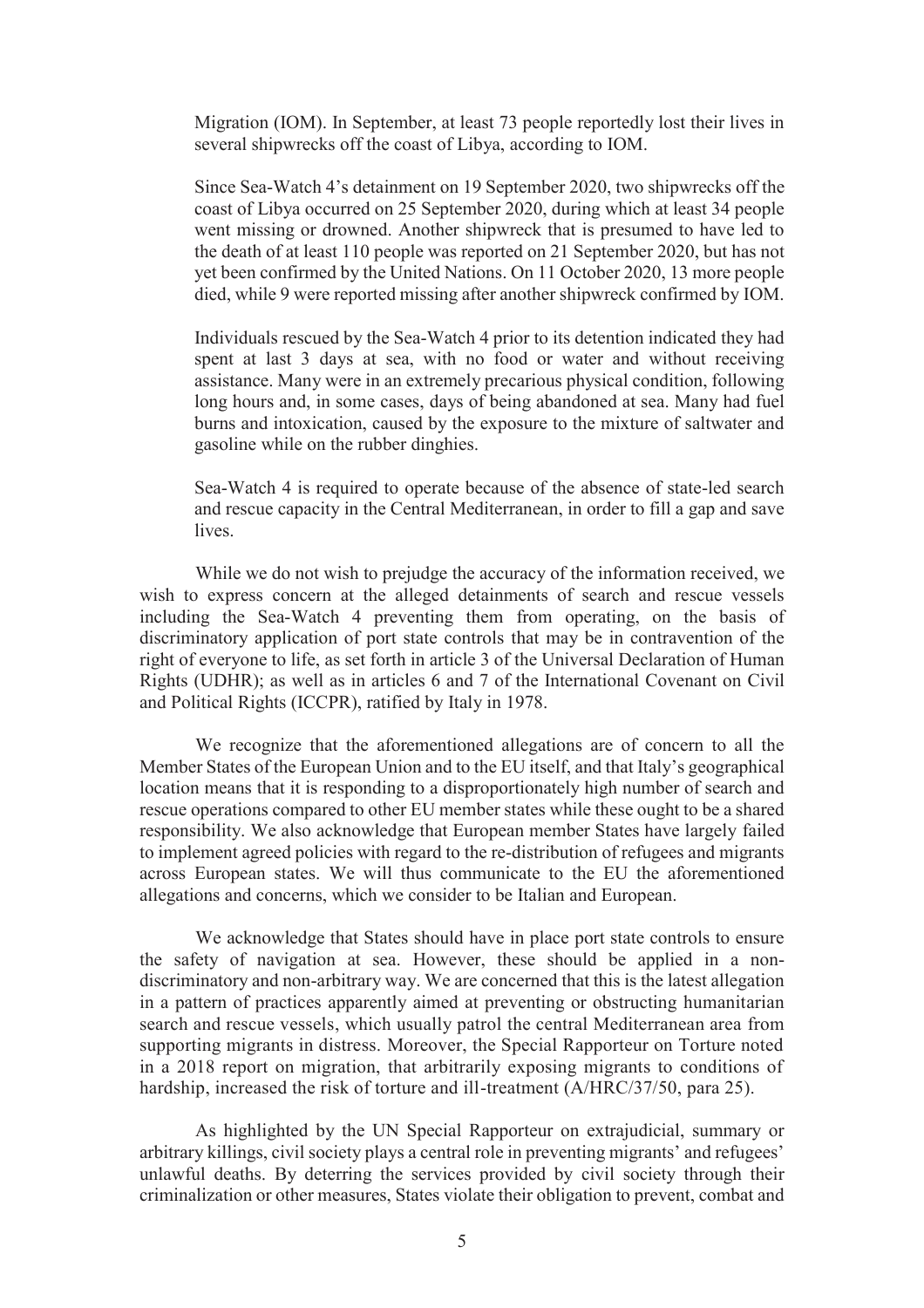Migration (IOM). In September, at least 73 people reportedly lost their lives in several shipwrecks off the coast of Libya, according to IOM.

Since Sea-Watch 4's detainment on 19 September 2020, two shipwrecks off the coast of Libya occurred on 25 September 2020, during which at least 34 people went missing or drowned. Another shipwreck that is presumed to have led to the death of at least 110 people was reported on 21 September 2020, but has not yet been confirmed by the United Nations. On 11 October 2020, 13 more people died, while 9 were reported missing after another shipwreck confirmed by IOM.

Individuals rescued by the Sea-Watch 4 prior to its detention indicated they had spent at last 3 days at sea, with no food or water and without receiving assistance. Many were in an extremely precarious physical condition, following long hours and, in some cases, days of being abandoned at sea. Many had fuel burns and intoxication, caused by the exposure to the mixture of saltwater and gasoline while on the rubber dinghies.

Sea-Watch 4 is required to operate because of the absence of state-led search and rescue capacity in the Central Mediterranean, in order to fill a gap and save lives.

While we do not wish to prejudge the accuracy of the information received, we wish to express concern at the alleged detainments of search and rescue vessels including the Sea-Watch 4 preventing them from operating, on the basis of discriminatory application of port state controls that may be in contravention of the right of everyone to life, as set forth in article 3 of the Universal Declaration of Human Rights (UDHR); as well as in articles 6 and 7 of the International Covenant on Civil and Political Rights (ICCPR), ratified by Italy in 1978.

We recognize that the aforementioned allegations are of concern to all the Member States of the European Union and to the EU itself, and that Italy's geographical location means that it is responding to a disproportionately high number of search and rescue operations compared to other EU member states while these ought to be a shared responsibility. We also acknowledge that European member States have largely failed to implement agreed policies with regard to the re-distribution of refugees and migrants across European states. We will thus communicate to the EU the aforementioned allegations and concerns, which we consider to be Italian and European.

We acknowledge that States should have in place port state controls to ensure the safety of navigation at sea. However, these should be applied in a nondiscriminatory and non-arbitrary way. We are concerned that this is the latest allegation in a pattern of practices apparently aimed at preventing or obstructing humanitarian search and rescue vessels, which usually patrol the central Mediterranean area from supporting migrants in distress. Moreover, the Special Rapporteur on Torture noted in a 2018 report on migration, that arbitrarily exposing migrants to conditions of hardship, increased the risk of torture and ill-treatment (A/HRC/37/50, para 25).

As highlighted by the UN Special Rapporteur on extrajudicial, summary or arbitrary killings, civil society plays a central role in preventing migrants' and refugees' unlawful deaths. By deterring the services provided by civil society through their criminalization or other measures, States violate their obligation to prevent, combat and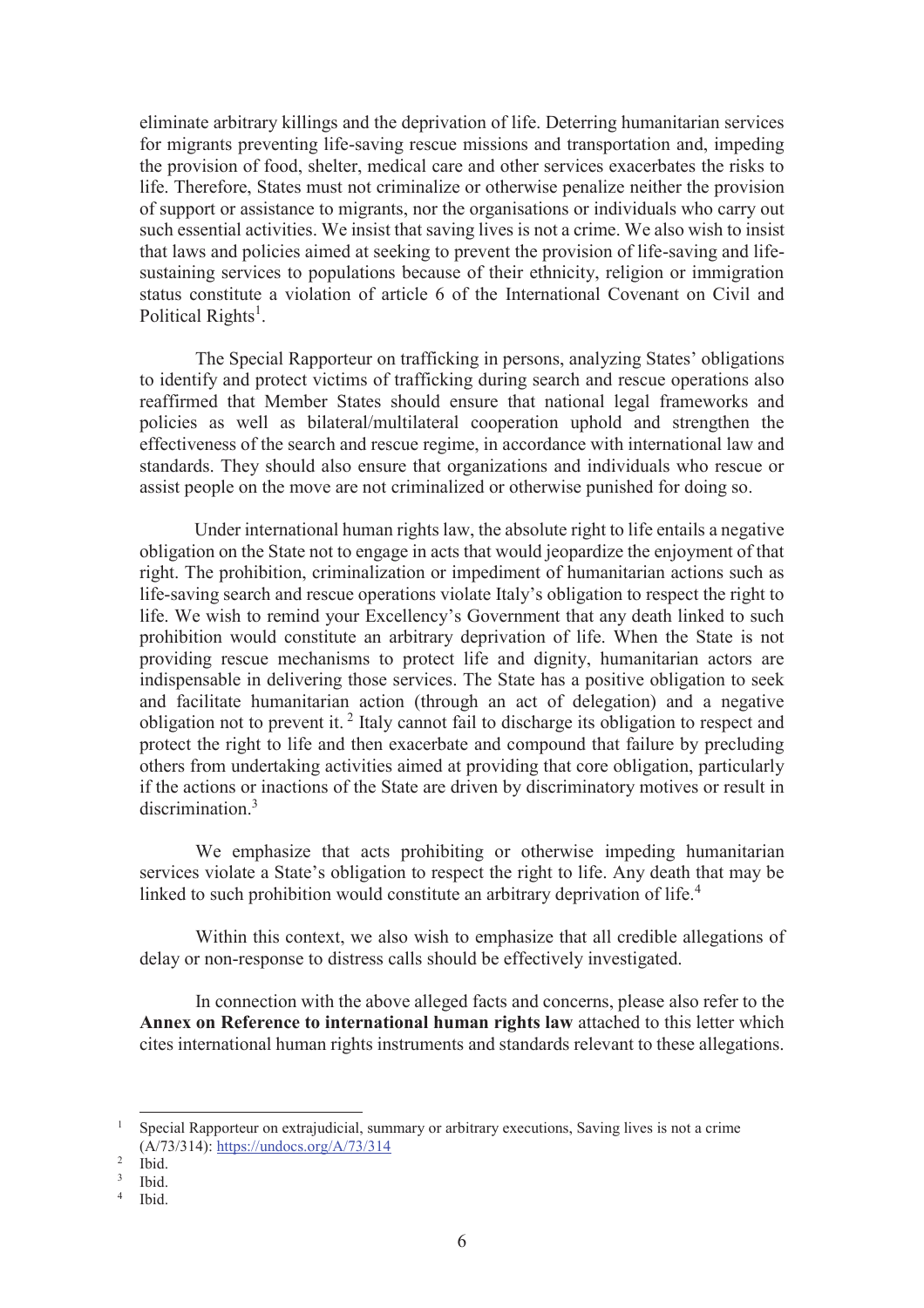eliminate arbitrary killings and the deprivation of life. Deterring humanitarian services for migrants preventing life-saving rescue missions and transportation and, impeding the provision of food, shelter, medical care and other services exacerbates the risks to life. Therefore, States must not criminalize or otherwise penalize neither the provision of support or assistance to migrants, nor the organisations or individuals who carry out such essential activities. We insist that saving lives is not a crime. We also wish to insist that laws and policies aimed at seeking to prevent the provision of life-saving and lifesustaining services to populations because of their ethnicity, religion or immigration status constitute a violation of article 6 of the International Covenant on Civil and Political Rights<sup>1</sup>.

The Special Rapporteur on trafficking in persons, analyzing States' obligations to identify and protect victims of trafficking during search and rescue operations also reaffirmed that Member States should ensure that national legal frameworks and policies as well as bilateral/multilateral cooperation uphold and strengthen the effectiveness of the search and rescue regime, in accordance with international law and standards. They should also ensure that organizations and individuals who rescue or assist people on the move are not criminalized or otherwise punished for doing so.

Under international human rights law, the absolute right to life entails a negative obligation on the State not to engage in acts that would jeopardize the enjoyment of that right. The prohibition, criminalization or impediment of humanitarian actions such as life-saving search and rescue operations violate Italy's obligation to respect the right to life. We wish to remind your Excellency's Government that any death linked to such prohibition would constitute an arbitrary deprivation of life. When the State is not providing rescue mechanisms to protect life and dignity, humanitarian actors are indispensable in delivering those services. The State has a positive obligation to seek and facilitate humanitarian action (through an act of delegation) and a negative obligation not to prevent it.<sup>2</sup> Italy cannot fail to discharge its obligation to respect and protect the right to life and then exacerbate and compound that failure by precluding others from undertaking activities aimed at providing that core obligation, particularly if the actions or inactions of the State are driven by discriminatory motives or result in discrimination<sup>3</sup>

We emphasize that acts prohibiting or otherwise impeding humanitarian services violate a State's obligation to respect the right to life. Any death that may be linked to such prohibition would constitute an arbitrary deprivation of life.<sup>4</sup>

Within this context, we also wish to emphasize that all credible allegations of delay or non-response to distress calls should be effectively investigated.

In connection with the above alleged facts and concerns, please also refer to the **Annex on Reference to international human rights law** attached to this letter which cites international human rights instruments and standards relevant to these allegations.

-

<sup>1</sup> Special Rapporteur on extrajudicial, summary or arbitrary executions, Saving lives is not a crime (A/73/314): https://undocs.org/A/73/314

<sup>2</sup> Ibid.

<sup>3</sup> Ibid.

<sup>4</sup> Ibid.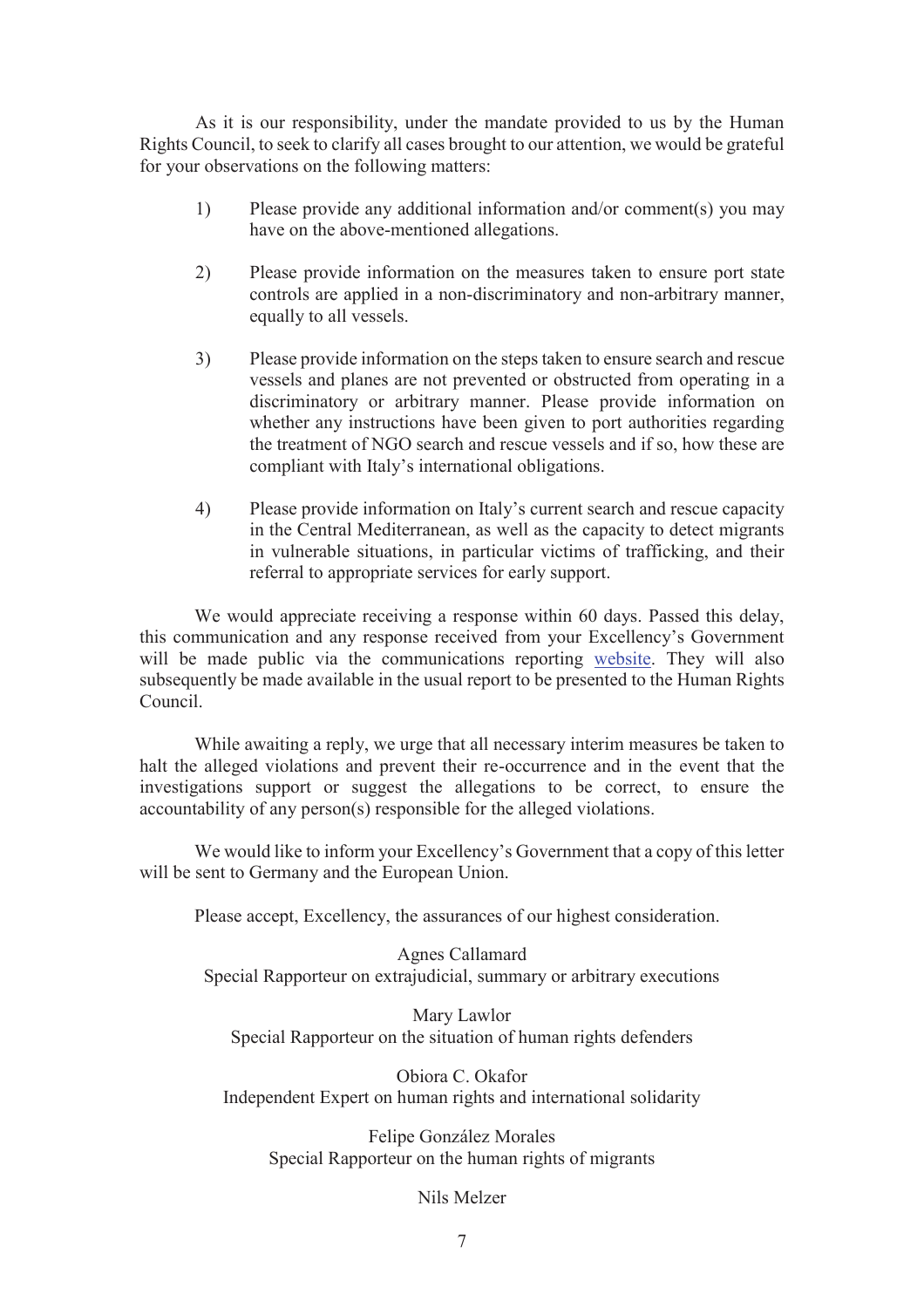As it is our responsibility, under the mandate provided to us by the Human Rights Council, to seek to clarify all cases brought to our attention, we would be grateful for your observations on the following matters:

- 1) Please provide any additional information and/or comment(s) you may have on the above-mentioned allegations.
- 2) Please provide information on the measures taken to ensure port state controls are applied in a non-discriminatory and non-arbitrary manner, equally to all vessels.
- 3) Please provide information on the steps taken to ensure search and rescue vessels and planes are not prevented or obstructed from operating in a discriminatory or arbitrary manner. Please provide information on whether any instructions have been given to port authorities regarding the treatment of NGO search and rescue vessels and if so, how these are compliant with Italy's international obligations.
- 4) Please provide information on Italy's current search and rescue capacity in the Central Mediterranean, as well as the capacity to detect migrants in vulnerable situations, in particular victims of trafficking, and their referral to appropriate services for early support.

We would appreciate receiving a response within 60 days. Passed this delay, this communication and any response received from your Excellency's Government will be made public via the communications reporting website. They will also subsequently be made available in the usual report to be presented to the Human Rights Council.

While awaiting a reply, we urge that all necessary interim measures be taken to halt the alleged violations and prevent their re-occurrence and in the event that the investigations support or suggest the allegations to be correct, to ensure the accountability of any person(s) responsible for the alleged violations.

We would like to inform your Excellency's Government that a copy of this letter will be sent to Germany and the European Union.

Please accept, Excellency, the assurances of our highest consideration.

Agnes Callamard Special Rapporteur on extrajudicial, summary or arbitrary executions

Mary Lawlor Special Rapporteur on the situation of human rights defenders

Obiora C. Okafor Independent Expert on human rights and international solidarity

Felipe González Morales Special Rapporteur on the human rights of migrants

#### Nils Melzer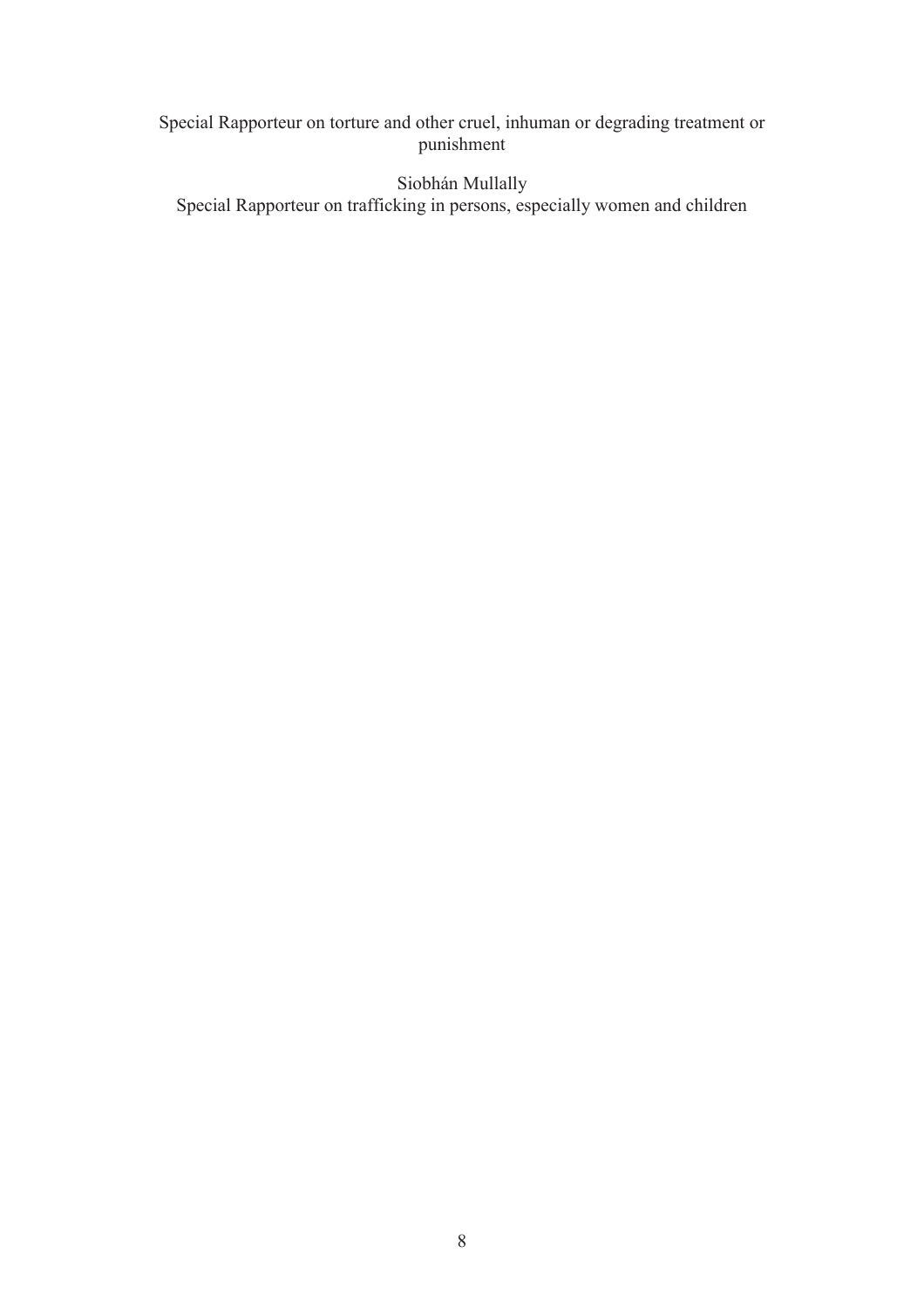# Special Rapporteur on torture and other cruel, inhuman or degrading treatment or punishment

Siobhán Mullally Special Rapporteur on trafficking in persons, especially women and children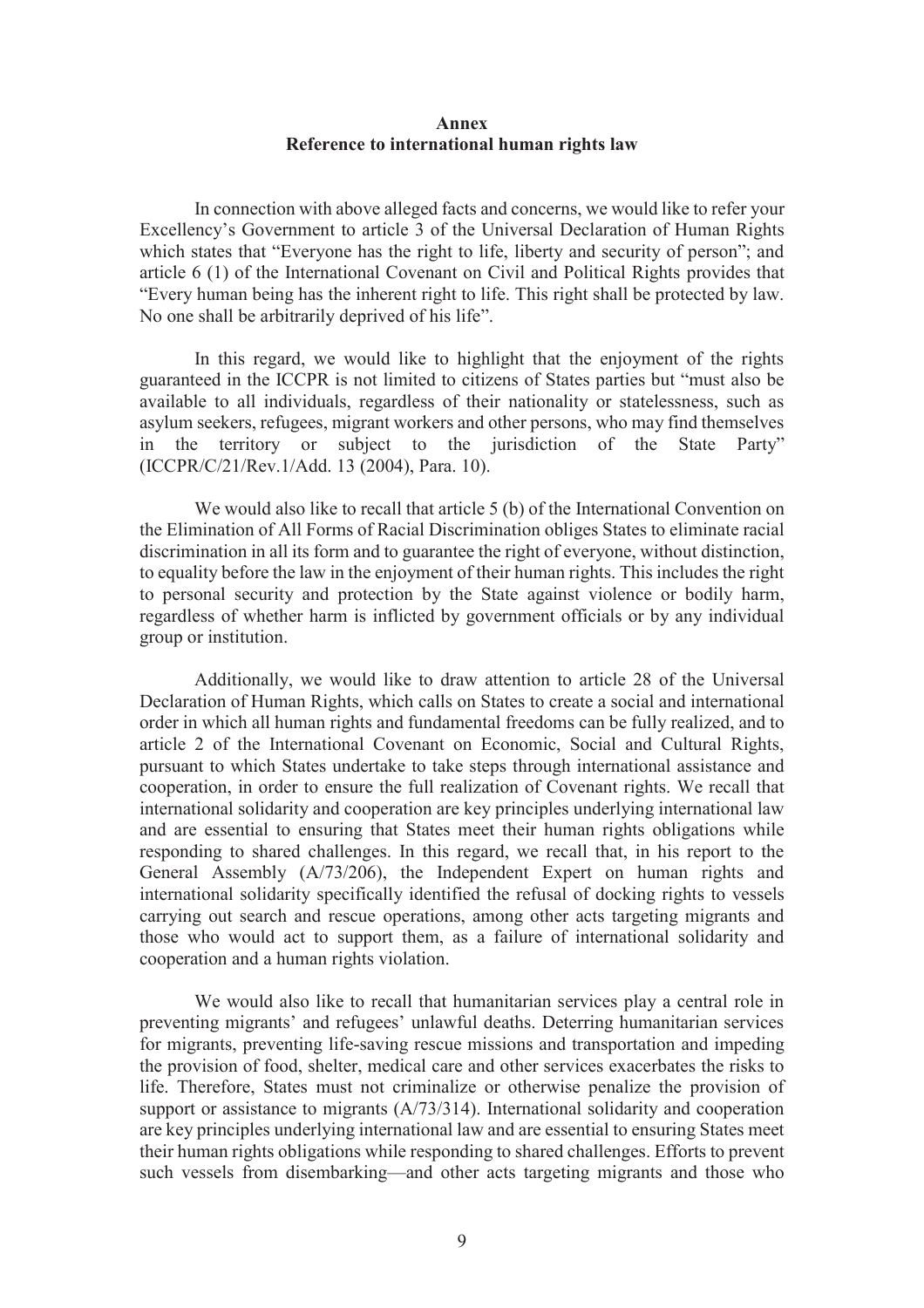#### **Annex Reference to international human rights law**

In connection with above alleged facts and concerns, we would like to refer your Excellency's Government to article 3 of the Universal Declaration of Human Rights which states that "Everyone has the right to life, liberty and security of person"; and article 6 (1) of the International Covenant on Civil and Political Rights provides that "Every human being has the inherent right to life. This right shall be protected by law. No one shall be arbitrarily deprived of his life".

In this regard, we would like to highlight that the enjoyment of the rights guaranteed in the ICCPR is not limited to citizens of States parties but "must also be available to all individuals, regardless of their nationality or statelessness, such as asylum seekers, refugees, migrant workers and other persons, who may find themselves in the territory or subject to the jurisdiction of the State Party" (ICCPR/C/21/Rev.1/Add. 13 (2004), Para. 10).

We would also like to recall that article 5 (b) of the International Convention on the Elimination of All Forms of Racial Discrimination obliges States to eliminate racial discrimination in all its form and to guarantee the right of everyone, without distinction, to equality before the law in the enjoyment of their human rights. This includes the right to personal security and protection by the State against violence or bodily harm, regardless of whether harm is inflicted by government officials or by any individual group or institution.

Additionally, we would like to draw attention to article 28 of the Universal Declaration of Human Rights, which calls on States to create a social and international order in which all human rights and fundamental freedoms can be fully realized, and to article 2 of the International Covenant on Economic, Social and Cultural Rights, pursuant to which States undertake to take steps through international assistance and cooperation, in order to ensure the full realization of Covenant rights. We recall that international solidarity and cooperation are key principles underlying international law and are essential to ensuring that States meet their human rights obligations while responding to shared challenges. In this regard, we recall that, in his report to the General Assembly (A/73/206), the Independent Expert on human rights and international solidarity specifically identified the refusal of docking rights to vessels carrying out search and rescue operations, among other acts targeting migrants and those who would act to support them, as a failure of international solidarity and cooperation and a human rights violation.

We would also like to recall that humanitarian services play a central role in preventing migrants' and refugees' unlawful deaths. Deterring humanitarian services for migrants, preventing life-saving rescue missions and transportation and impeding the provision of food, shelter, medical care and other services exacerbates the risks to life. Therefore, States must not criminalize or otherwise penalize the provision of support or assistance to migrants (A/73/314). International solidarity and cooperation are key principles underlying international law and are essential to ensuring States meet their human rights obligations while responding to shared challenges. Efforts to prevent such vessels from disembarking—and other acts targeting migrants and those who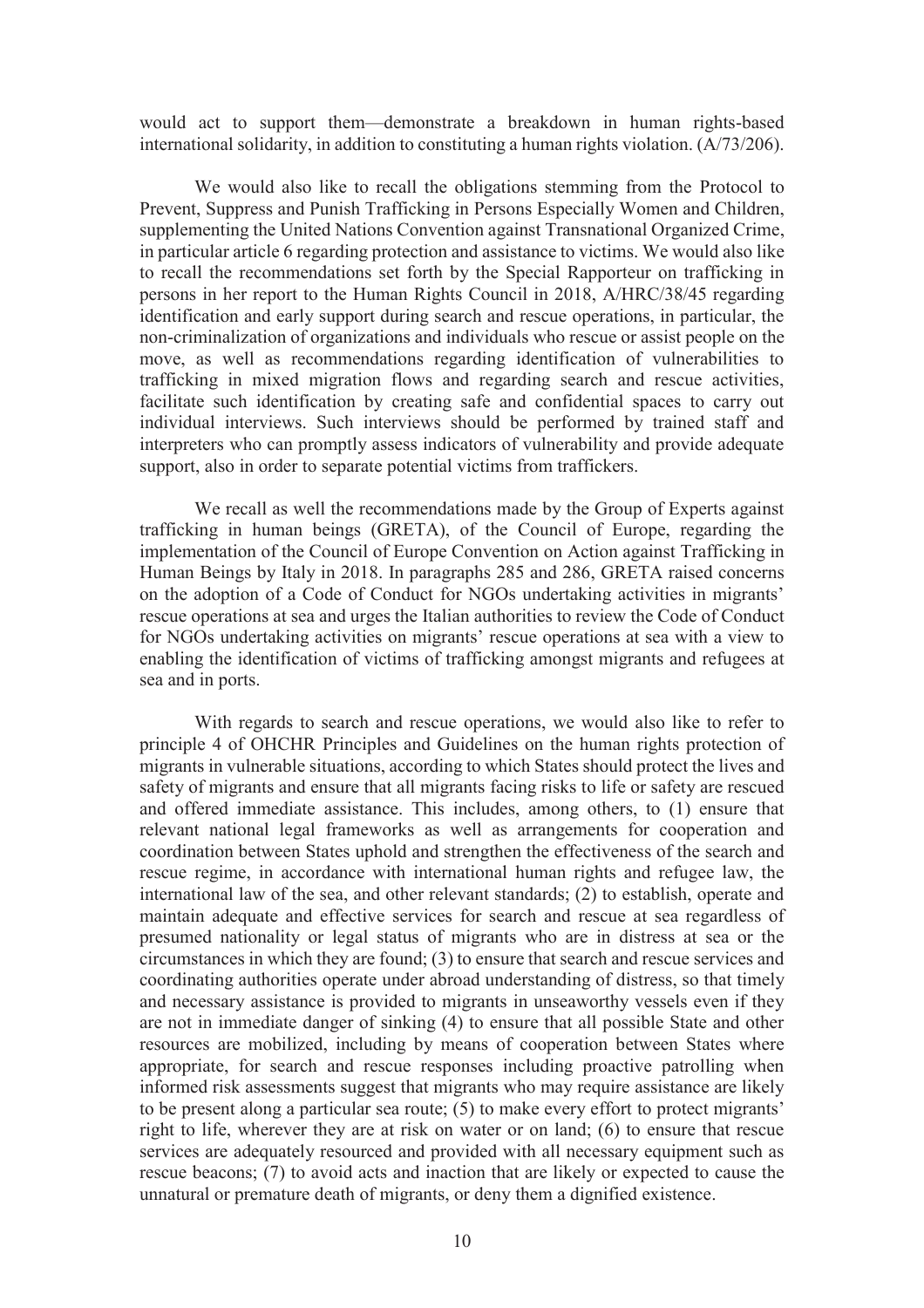would act to support them—demonstrate a breakdown in human rights-based international solidarity, in addition to constituting a human rights violation. (A/73/206).

We would also like to recall the obligations stemming from the Protocol to Prevent, Suppress and Punish Trafficking in Persons Especially Women and Children, supplementing the United Nations Convention against Transnational Organized Crime, in particular article 6 regarding protection and assistance to victims. We would also like to recall the recommendations set forth by the Special Rapporteur on trafficking in persons in her report to the Human Rights Council in 2018, A/HRC/38/45 regarding identification and early support during search and rescue operations, in particular, the non-criminalization of organizations and individuals who rescue or assist people on the move, as well as recommendations regarding identification of vulnerabilities to trafficking in mixed migration flows and regarding search and rescue activities, facilitate such identification by creating safe and confidential spaces to carry out individual interviews. Such interviews should be performed by trained staff and interpreters who can promptly assess indicators of vulnerability and provide adequate support, also in order to separate potential victims from traffickers.

We recall as well the recommendations made by the Group of Experts against trafficking in human beings (GRETA), of the Council of Europe, regarding the implementation of the Council of Europe Convention on Action against Trafficking in Human Beings by Italy in 2018. In paragraphs 285 and 286, GRETA raised concerns on the adoption of a Code of Conduct for NGOs undertaking activities in migrants' rescue operations at sea and urges the Italian authorities to review the Code of Conduct for NGOs undertaking activities on migrants' rescue operations at sea with a view to enabling the identification of victims of trafficking amongst migrants and refugees at sea and in ports.

With regards to search and rescue operations, we would also like to refer to principle 4 of OHCHR Principles and Guidelines on the human rights protection of migrants in vulnerable situations, according to which States should protect the lives and safety of migrants and ensure that all migrants facing risks to life or safety are rescued and offered immediate assistance. This includes, among others, to (1) ensure that relevant national legal frameworks as well as arrangements for cooperation and coordination between States uphold and strengthen the effectiveness of the search and rescue regime, in accordance with international human rights and refugee law, the international law of the sea, and other relevant standards; (2) to establish, operate and maintain adequate and effective services for search and rescue at sea regardless of presumed nationality or legal status of migrants who are in distress at sea or the circumstances in which they are found; (3) to ensure that search and rescue services and coordinating authorities operate under abroad understanding of distress, so that timely and necessary assistance is provided to migrants in unseaworthy vessels even if they are not in immediate danger of sinking (4) to ensure that all possible State and other resources are mobilized, including by means of cooperation between States where appropriate, for search and rescue responses including proactive patrolling when informed risk assessments suggest that migrants who may require assistance are likely to be present along a particular sea route; (5) to make every effort to protect migrants' right to life, wherever they are at risk on water or on land; (6) to ensure that rescue services are adequately resourced and provided with all necessary equipment such as rescue beacons; (7) to avoid acts and inaction that are likely or expected to cause the unnatural or premature death of migrants, or deny them a dignified existence.